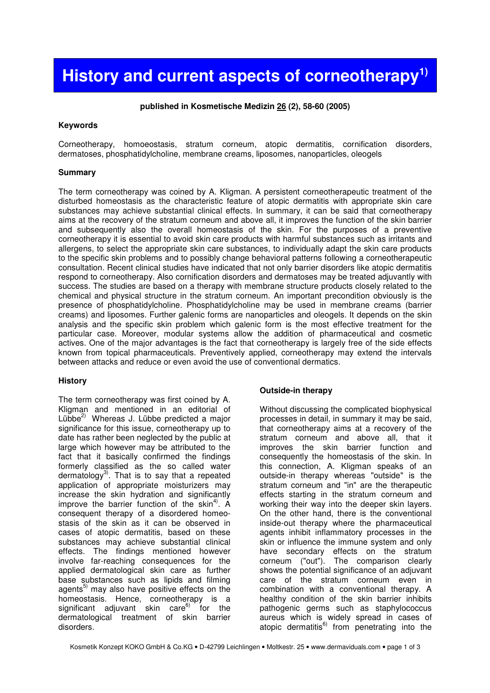# History and current aspects of corneotherapy<sup>1)</sup>

#### **published in Kosmetische Medizin 26 (2), 58-60 (2005)**

#### **Keywords**

Corneotherapy, homoeostasis, stratum corneum, atopic dermatitis, cornification disorders, dermatoses, phosphatidylcholine, membrane creams, liposomes, nanoparticles, oleogels

#### **Summary**

The term corneotherapy was coined by A. Kligman. A persistent corneotherapeutic treatment of the disturbed homeostasis as the characteristic feature of atopic dermatitis with appropriate skin care substances may achieve substantial clinical effects. In summary, it can be said that corneotherapy aims at the recovery of the stratum corneum and above all, it improves the function of the skin barrier and subsequently also the overall homeostasis of the skin. For the purposes of a preventive corneotherapy it is essential to avoid skin care products with harmful substances such as irritants and allergens, to select the appropriate skin care substances, to individually adapt the skin care products to the specific skin problems and to possibly change behavioral patterns following a corneotherapeutic consultation. Recent clinical studies have indicated that not only barrier disorders like atopic dermatitis respond to corneotherapy. Also cornification disorders and dermatoses may be treated adjuvantly with success. The studies are based on a therapy with membrane structure products closely related to the chemical and physical structure in the stratum corneum. An important precondition obviously is the presence of phosphatidylcholine. Phosphatidylcholine may be used in membrane creams (barrier creams) and liposomes. Further galenic forms are nanoparticles and oleogels. It depends on the skin analysis and the specific skin problem which galenic form is the most effective treatment for the particular case. Moreover, modular systems allow the addition of pharmaceutical and cosmetic actives. One of the major advantages is the fact that corneotherapy is largely free of the side effects known from topical pharmaceuticals. Preventively applied, corneotherapy may extend the intervals between attacks and reduce or even avoid the use of conventional dermatics.

## **History**

The term corneotherapy was first coined by A. Kligman and mentioned in an editorial of Lübbe $^{2)}$  Whereas J. Lübbe predicted a major significance for this issue, corneotherapy up to date has rather been neglected by the public at large which however may be attributed to the fact that it basically confirmed the findings formerly classified as the so called water dermatology<sup>3)</sup>. That is to say that a repeated application of appropriate moisturizers may increase the skin hydration and significantly improve the barrier function of the skin<sup>4)</sup>. A consequent therapy of a disordered homeostasis of the skin as it can be observed in cases of atopic dermatitis, based on these substances may achieve substantial clinical effects. The findings mentioned however involve far-reaching consequences for the applied dermatological skin care as further base substances such as lipids and filming agents<sup>5)</sup> may also have positive effects on the homeostasis. Hence, corneotherapy is a significant adjuvant skin care $6$  for the dermatological treatment of skin barrier disorders.

## **Outside-in therapy**

Without discussing the complicated biophysical processes in detail, in summary it may be said, that corneotherapy aims at a recovery of the stratum corneum and above all, that it improves the skin barrier function and consequently the homeostasis of the skin. In this connection, A. Kligman speaks of an outside-in therapy whereas "outside" is the stratum corneum and "in" are the therapeutic effects starting in the stratum corneum and working their way into the deeper skin layers. On the other hand, there is the conventional inside-out therapy where the pharmaceutical agents inhibit inflammatory processes in the skin or influence the immune system and only have secondary effects on the stratum corneum ("out"). The comparison clearly shows the potential significance of an adjuvant care of the stratum corneum even in combination with a conventional therapy. A healthy condition of the skin barrier inhibits pathogenic germs such as staphylococcus aureus which is widely spread in cases of atopic dermatitis<sup>6)</sup> from penetrating into the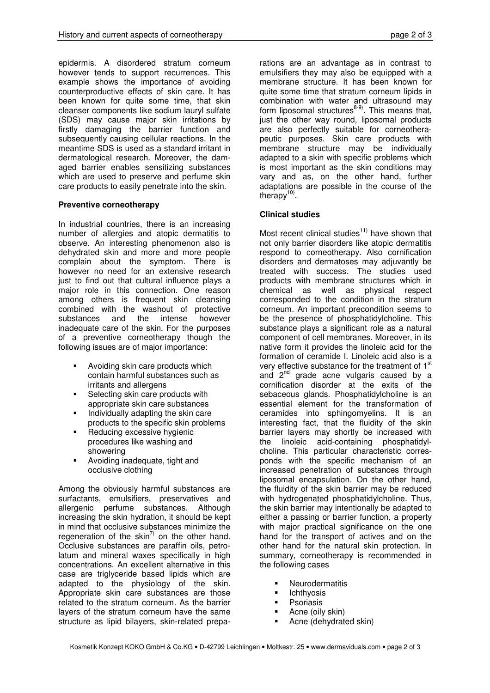epidermis. A disordered stratum corneum however tends to support recurrences. This example shows the importance of avoiding counterproductive effects of skin care. It has been known for quite some time, that skin cleanser components like sodium lauryl sulfate (SDS) may cause major skin irritations by firstly damaging the barrier function and subsequently causing cellular reactions. In the meantime SDS is used as a standard irritant in dermatological research. Moreover, the damaged barrier enables sensitizing substances which are used to preserve and perfume skin care products to easily penetrate into the skin.

## **Preventive corneotherapy**

In industrial countries, there is an increasing number of allergies and atopic dermatitis to observe. An interesting phenomenon also is dehydrated skin and more and more people complain about the symptom. There is however no need for an extensive research just to find out that cultural influence plays a major role in this connection. One reason among others is frequent skin cleansing combined with the washout of protective substances and the intense however inadequate care of the skin. For the purposes of a preventive corneotherapy though the following issues are of major importance:

- **Avoiding skin care products which** contain harmful substances such as irritants and allergens
- **Selecting skin care products with** appropriate skin care substances
- **Individually adapting the skin care** products to the specific skin problems
- Reducing excessive hygienic procedures like washing and showering
- **Avoiding inadequate, tight and** occlusive clothing

Among the obviously harmful substances are surfactants, emulsifiers, preservatives and allergenic perfume substances. Although increasing the skin hydration, it should be kept in mind that occlusive substances minimize the regeneration of the skin $^{7)}$  on the other hand. Occlusive substances are paraffin oils, petrolatum and mineral waxes specifically in high concentrations. An excellent alternative in this case are triglyceride based lipids which are adapted to the physiology of the skin. Appropriate skin care substances are those related to the stratum corneum. As the barrier layers of the stratum corneum have the same structure as lipid bilayers, skin-related prepa-

rations are an advantage as in contrast to emulsifiers they may also be equipped with a membrane structure. It has been known for quite some time that stratum corneum lipids in combination with water and ultrasound may form liposomal structures<sup>8-9)</sup>. This means that, just the other way round, liposomal products are also perfectly suitable for corneotherapeutic purposes. Skin care products with membrane structure may be individually adapted to a skin with specific problems which is most important as the skin conditions may vary and as, on the other hand, further adaptations are possible in the course of the therapy<sup>10)</sup>.

## **Clinical studies**

Most recent clinical studies $11)$  have shown that not only barrier disorders like atopic dermatitis respond to corneotherapy. Also cornification disorders and dermatoses may adjuvantly be treated with success. The studies used products with membrane structures which in chemical as well as physical respect corresponded to the condition in the stratum corneum. An important precondition seems to be the presence of phosphatidylcholine. This substance plays a significant role as a natural component of cell membranes. Moreover, in its native form it provides the linoleic acid for the formation of ceramide I. Linoleic acid also is a very effective substance for the treatment of 1<sup>st</sup> and 2<sup>nd</sup> grade acne vulgaris caused by a cornification disorder at the exits of the sebaceous glands. Phosphatidylcholine is an essential element for the transformation of ceramides into sphingomyelins. It is an interesting fact, that the fluidity of the skin barrier layers may shortly be increased with the linoleic acid-containing phosphatidylcholine. This particular characteristic corresponds with the specific mechanism of an increased penetration of substances through liposomal encapsulation. On the other hand, the fluidity of the skin barrier may be reduced with hydrogenated phosphatidylcholine. Thus, the skin barrier may intentionally be adapted to either a passing or barrier function, a property with major practical significance on the one hand for the transport of actives and on the other hand for the natural skin protection. In summary, corneotherapy is recommended in the following cases

- **Neurodermatitis**
- Ichthyosis
- Psoriasis
- **-** Acne (oily skin)
- Acne (dehydrated skin)